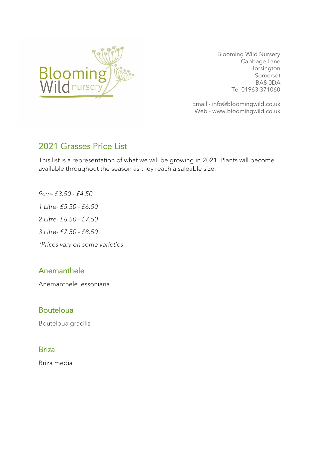

 Blooming Wild Nursery Cabbage Lane Horsington Somerset BA8 0DA Tel 01963 371060

Email - info@bloomingwild.co.uk Web - www.bloomingwild.co.uk

# 2021 Grasses Price List

This list is a representation of what we will be growing in 2021. Plants will become available throughout the season as they reach a saleable size.

*9cm- £3.50 - £4.50 1 Litre- £5.50 - £6.50 2 Litre- £6.50 - £7.50 3 Litre- £7.50 - £8.50 \*Prices vary on some varieties*

# Anemanthele

Anemanthele lessoniana

# Bouteloua

Bouteloua gracilis

### Briza

Briza media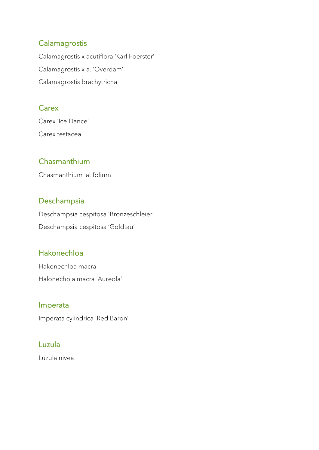## **Calamagrostis**

Calamagrostis x acutiflora 'Karl Foerster' Calamagrostis x a. 'Overdam' Calamagrostis brachytricha

### **Carex**

Carex 'Ice Dance' Carex testacea

# Chasmanthium

Chasmanthium latifolium

### Deschampsia

Deschampsia cespitosa 'Bronzeschleier' Deschampsia cespitosa 'Goldtau'

# Hakonechloa

Hakonechloa macra Halonechola macra 'Aureola'

#### Imperata

Imperata cylindrica 'Red Baron'

### Luzula

Luzula nivea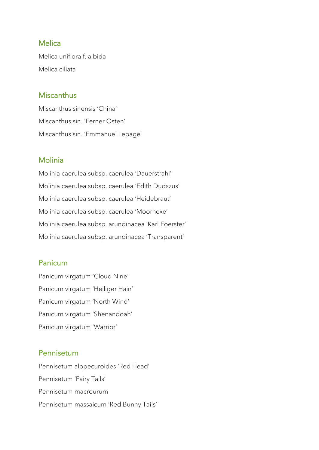#### **Melica**

Melica uniflora f. albida Melica ciliata

#### **Miscanthus**

Miscanthus sinensis 'China' Miscanthus sin. 'Ferner Osten' Miscanthus sin. 'Emmanuel Lepage'

### Molinia

Molinia caerulea subsp. caerulea 'Dauerstrahl' Molinia caerulea subsp. caerulea 'Edith Dudszus' Molinia caerulea subsp. caerulea 'Heidebraut' Molinia caerulea subsp. caerulea 'Moorhexe' Molinia caerulea subsp. arundinacea 'Karl Foerster' Molinia caerulea subsp. arundinacea 'Transparent'

### Panicum

Panicum virgatum 'Cloud Nine' Panicum virgatum 'Heiliger Hain' Panicum virgatum 'North Wind' Panicum virgatum 'Shenandoah' Panicum virgatum 'Warrior'

#### Pennisetum

Pennisetum alopecuroides 'Red Head' Pennisetum 'Fairy Tails' Pennisetum macrourum Pennisetum massaicum 'Red Bunny Tails'